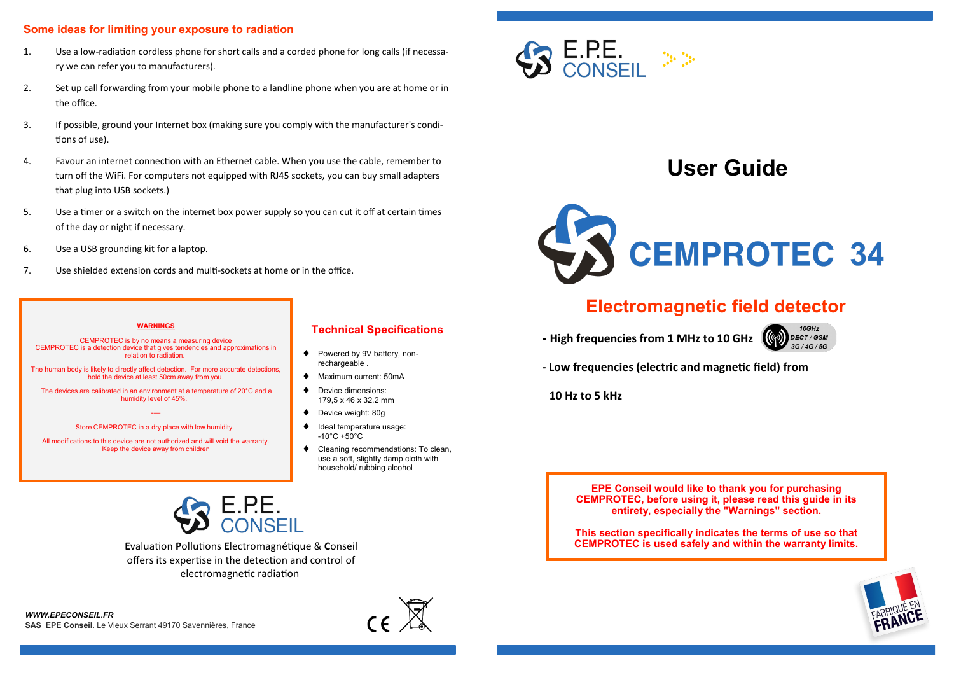#### **Some ideas for limiting your exposure to radiation**

- 1. Use a low-radiation cordless phone for short calls and a corded phone for long calls (if necessary we can refer you to manufacturers).
- 2. Set up call forwarding from your mobile phone to a landline phone when you are at home or in the office.
- 3. If possible, ground your Internet box (making sure you comply with the manufacturer's conditions of use).
- 4. Favour an internet connection with an Ethernet cable. When you use the cable, remember to turn off the WiFi. For computers not equipped with RJ45 sockets, you can buy small adapters that plug into USB sockets.)
- 5. Use a timer or a switch on the internet box power supply so you can cut it off at certain times of the day or night if necessary.
- 6. Use a USB grounding kit for a laptop.
- 7. Use shielded extension cords and multi-sockets at home or in the office.

#### **WARNINGS**

CEMPROTEC is by no means a measuring device CEMPROTEC is a detection device that gives tendencies and approximations in relation to radiation.

The human body is likely to directly affect detection. For more accurate detections, hold the device at least 50cm away from you.

The devices are calibrated in an environment at a temperature of 20°C and a humidity level of 45%.

> -— Store CEMPROTEC in a dry place with low humidity.

All modifications to this device are not authorized and will void the warranty. Keep the device away from children

#### **Technical Specifications**

- ♦ Powered by 9V battery, nonrechargeable .
- Maximum current: 50mA
- Device dimensions: 179,5 x 46 x 32,2 mm
- Device weight: 80g
- $\bullet$  Ideal temperature usage: -10°C +50°C
- ◆ Cleaning recommendations: To clean, use a soft, slightly damp cloth with household/ rubbing alcohol



# **User Guide**



# **Electromagnetic field detector**

**- High frequencies from 1 MHz to 10 GHz** 



**- Low frequencies (electric and magnetic field) from** 

 **10 Hz to 5 kHz**

**EPE Conseil would like to thank you for purchasing CEMPROTEC, before using it, please read this guide in its entirety, especially the "Warnings" section.**

**This section specifically indicates the terms of use so that CEMPROTEC is used safely and within the warranty limits.**



1

**E**valuation **P**ollutions **E**lectromagnétique & **C**onseil

offers its expertise in the detection and control of electromagnetic radiation

8

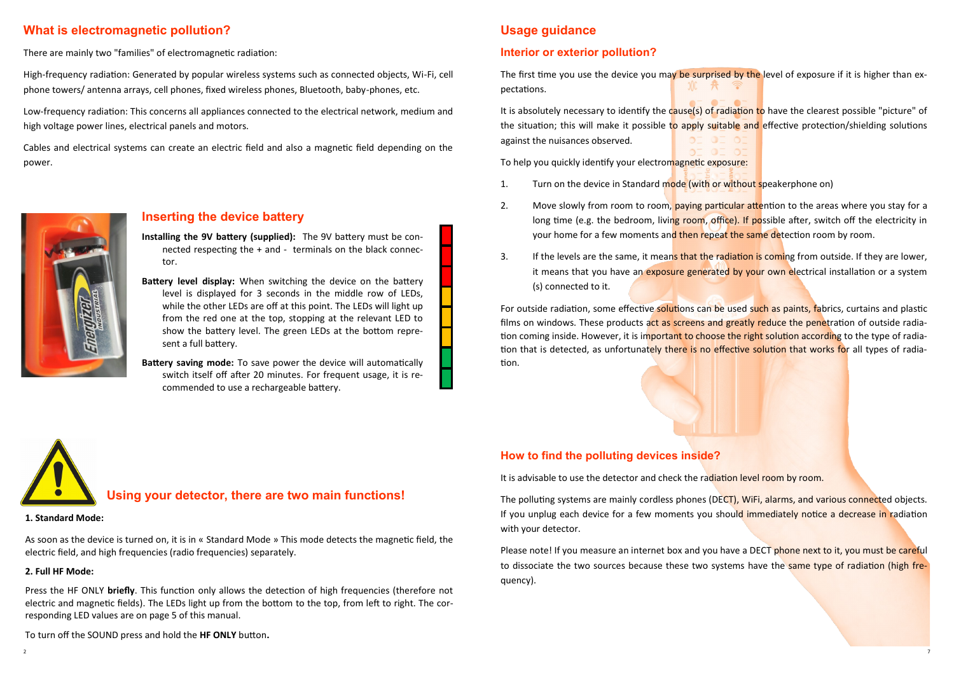## **What is electromagnetic pollution?**

There are mainly two "families" of electromagnetic radiation:

High-frequency radiation: Generated by popular wireless systems such as connected objects, Wi-Fi, cell phone towers/ antenna arrays, cell phones, fixed wireless phones, Bluetooth, baby-phones, etc.

Low-frequency radiation: This concerns all appliances connected to the electrical network, medium and high voltage power lines, electrical panels and motors.

Cables and electrical systems can create an electric field and also a magnetic field depending on the power.



### **Inserting the device battery**

**Installing the 9V battery (supplied):** The 9V battery must be connected respecting the + and - terminals on the black connector.

**Battery level display:** When switching the device on the battery level is displayed for 3 seconds in the middle row of LEDs, while the other LEDs are off at this point. The LEDs will light up from the red one at the top, stopping at the relevant LED to show the battery level. The green LEDs at the bottom represent a full battery.

**Battery saving mode:** To save power the device will automatically switch itself off after 20 minutes. For frequent usage, it is recommended to use a rechargeable battery.

# **Usage guidance**

#### **Interior or exterior pollution?**

The first time you use the device you may be surprised by the level of exposure if it is higher than expectations.

It is absolutely necessary to identify the cause(s) of radiation to have the clearest possible "picture" of the situation; this will make it possible to apply suitable and effective protection/shielding solutions against the nuisances observed.

To help you quickly identify your electromagnetic exposure:

- 1. Turn on the device in Standard mode (with or without speakerphone on)
- 2. Move slowly from room to room, paying particular attention to the areas where you stay for a long time (e.g. the bedroom, living room, office). If possible after, switch off the electricity in your home for a few moments and then repeat the same detection room by room.
- 3. If the levels are the same, it means that the radiation is coming from outside. If they are lower, it means that you have an exposure generated by your own electrical installation or a system (s) connected to it.

For outside radiation, some effective solutions can be used such as paints, fabrics, curtains and plastic films on windows. These products act as screens and greatly reduce the penetration of outside radiation coming inside. However, it is important to choose the right solution according to the type of radiation that is detected, as unfortunately there is no effective solution that works for all types of radiation.

 **Using your detector, there are two main functions!**

#### **1. Standard Mode:**

As soon as the device is turned on, it is in « Standard Mode » This mode detects the magnetic field, the electric field, and high frequencies (radio frequencies) separately.

#### **2. Full HF Mode:**

Press the HF ONLY **briefly**. This function only allows the detection of high frequencies (therefore not electric and magnetic fields). The LEDs light up from the bottom to the top, from left to right. The corresponding LED values are on page 5 of this manual.

#### **How to find the polluting devices inside?**

It is advisable to use the detector and check the radiation level room by room.

The polluting systems are mainly cordless phones (DECT), WiFi, alarms, and various connected objects. If you unplug each device for a few moments you should immediately notice a decrease in radiation with your detector.

Please note! If you measure an internet box and you have a DECT phone next to it, you must be careful to dissociate the two sources because these two systems have the same type of radiation (high frequency).

To turn off the SOUND press and hold the **HF ONLY** button**.**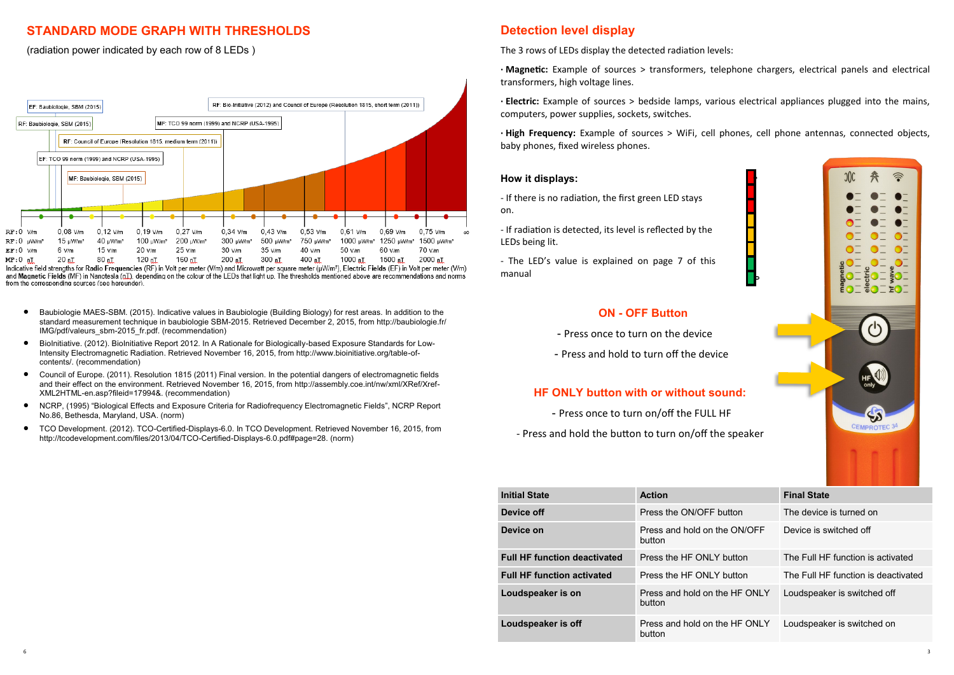# **STANDARD MODE GRAPH WITH THRESHOLDS**

(radiation power indicated by each row of 8 LEDs )



and Magnetic Fields (MF) in Nanotesla (nT), depending on the colour of the LEDs that light up. The thresholds mentioned above are recommendations and norms from the corresponding sources (see hereunder)

- Baubiologie MAES-SBM. (2015). Indicative values in Baubiologie (Building Biology) for rest areas. In addition to the standard measurement technique in baubiologie SBM-2015. Retrieved December 2, 2015, from http://baubiologie.fr/ IMG/pdf/valeurs\_sbm-2015\_fr.pdf. (recommendation)
- BioInitiative. (2012). BioInitiative Report 2012. In A Rationale for Biologically-based Exposure Standards for Low-Intensity Electromagnetic Radiation. Retrieved November 16, 2015, from http://www.bioinitiative.org/table-ofcontents/. (recommendation)
- Council of Europe. (2011). Resolution 1815 (2011) Final version. In the potential dangers of electromagnetic fields and their effect on the environment. Retrieved November 16, 2015, from http://assembly.coe.int/nw/xml/XRef/Xref-XML2HTML-en.asp?fileid=17994&. (recommendation)
- NCRP, (1995) "Biological Effects and Exposure Criteria for Radiofrequency Electromagnetic Fields", NCRP Report No.86, Bethesda, Maryland, USA. (norm)
- TCO Development. (2012). TCO-Certified-Displays-6.0. In TCO Development. Retrieved November 16, 2015, from http://tcodevelopment.com/files/2013/04/TCO-Certified-Displays-6.0.pdf#page=28. (norm)

# **Detection level display**

The 3 rows of LEDs display the detected radiation levels:

**· Magnetic:** Example of sources > transformers, telephone chargers, electrical panels and electrical transformers, high voltage lines.

**· Electric:** Example of sources > bedside lamps, various electrical appliances plugged into the mains, computers, power supplies, sockets, switches.

**· High Frequency:** Example of sources > WiFi, cell phones, cell phone antennas, connected objects, baby phones, fixed wireless phones.

**0**

**1**

#### **How it displays:**

- If there is no radiation, the first green LED stays on.

- If radiation is detected, its level is reflected by the LEDs being lit.

- The LED's value is explained on page 7 of this manual

#### **ON - OFF Button**

- Press once to turn on the device
- Press and hold to turn off the device

#### **HF ONLY button with or without sound:**

- Press once to turn on/off the FULL HF
- Press and hold the button to turn on/off the speaker

| <b>Initial State</b>                | <b>Action</b>                           | <b>Final State</b>                  |  |  |  |  |
|-------------------------------------|-----------------------------------------|-------------------------------------|--|--|--|--|
| Device off                          | Press the ON/OFF button                 | The device is turned on             |  |  |  |  |
| Device on                           | Press and hold on the ON/OFF<br>button  | Device is switched off              |  |  |  |  |
| <b>Full HF function deactivated</b> | Press the HF ONI Y button               | The Full HF function is activated   |  |  |  |  |
| <b>Full HF function activated</b>   | Press the HF ONI Y button               | The Full HF function is deactivated |  |  |  |  |
| Loudspeaker is on                   | Press and hold on the HF ONLY<br>button | Loudspeaker is switched off         |  |  |  |  |
| Loudspeaker is off                  | Press and hold on the HF ONLY<br>button | Loudspeaker is switched on          |  |  |  |  |
|                                     |                                         |                                     |  |  |  |  |

6

 $\bullet^-$ 

 $\mathbf{J} = \mathbf{g} \mathbf{O} \mathbf{I}$ 

 $E()$ 

Έ

 $\frac{9}{2}$ 

 $\mathcal{L}$ 

 $\leftrightarrow$ CEMPROTEC<sup>3</sup>